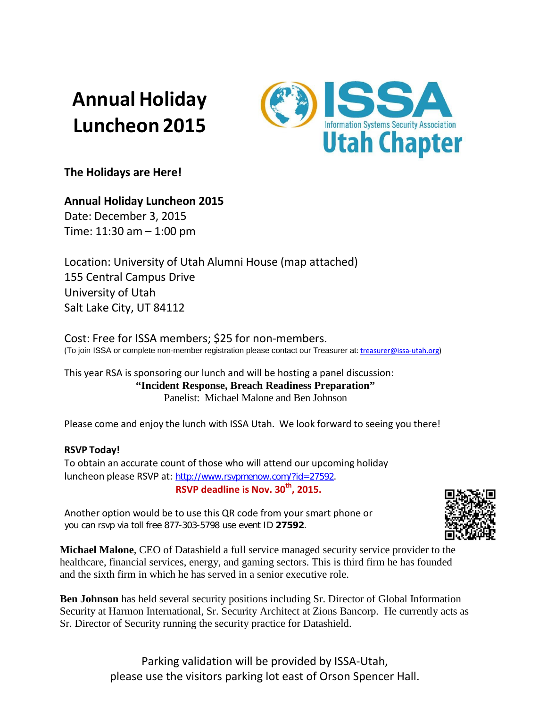## **Annual Holiday Luncheon 2015**



**The Holidays are Here!**

## **Annual Holiday Luncheon 2015**

Date: December 3, 2015 Time: 11:30 am – 1:00 pm

Location: University of Utah Alumni House (map attached) 155 Central Campus Drive University of Utah Salt Lake City, UT 84112

Cost: Free for ISSA members; \$25 for non-members.<br>(To join ISSA or complete non-member registration please contact our Treasurer at[: treasurer@issa-utah.org\)](mailto:treasurer@issa-utah.org)

This year RSA is sponsoring our lunch and will be hosting a panel discussion: **"Incident Response, Breach Readiness Preparation"**  Panelist: Michael Malone and Ben Johnson

Please come and enjoy the lunch with ISSA Utah. We look forward to seeing you there!

## **RSVP Today!**

To obtain an accurate count of those who will attend our upcoming holiday luncheon please RSVP at: [http://www.rsvpmenow.com/?id=27592](https://urldefense.proofpoint.com/v2/url?u=http-3A__www.rsvpmenow.com_-3Fid-3D27592&d=BQMCAg&c=GfBUCB3MgnJ6YRrx-L33qg&r=Fjo17OzPjLkoh09A7scDZDXraIUZymBARbEHp7VB4G0&m=y7aBBWYrdvsX9SXGzbE0SU_Ik72aU8nkkZNBvcjzuXU&s=CfT8jYPIeRyCoyAfmJ0BaTNYno2B-AWqQzEtspf1iwM&e=). **RSVP deadline is Nov. 30th, 2015.**

Another option would be to use this QR code from your smart phone or you can rsvp via toll free 877-303-5798 use event ID **27592**.

**Michael Malone**, CEO of Datashield a full service managed security service provider to the healthcare, financial services, energy, and gaming sectors. This is third firm he has founded and the sixth firm in which he has served in a senior executive role.

**Ben Johnson** has held several security positions including Sr. Director of Global Information Security at Harmon International, Sr. Security Architect at Zions Bancorp. He currently acts as Sr. Director of Security running the security practice for Datashield.



Parking validation will be provided by ISSA-Utah, please use the visitors parking lot east of Orson Spencer Hall.